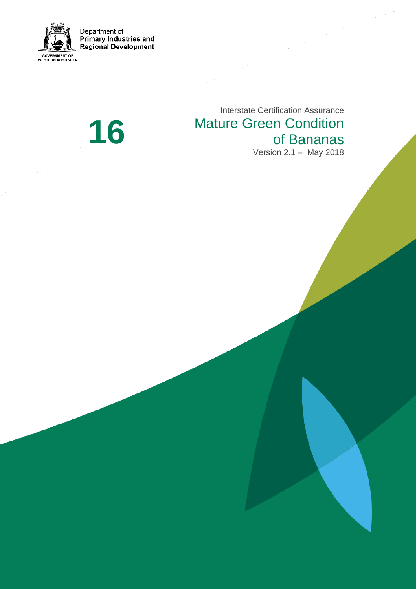

Department of<br>Primary Industries and<br>Regional Development

**1 6**

Interstate Certification Assurance Mature Green Condition<br>of Bananas Version 2 . 1 – May 2018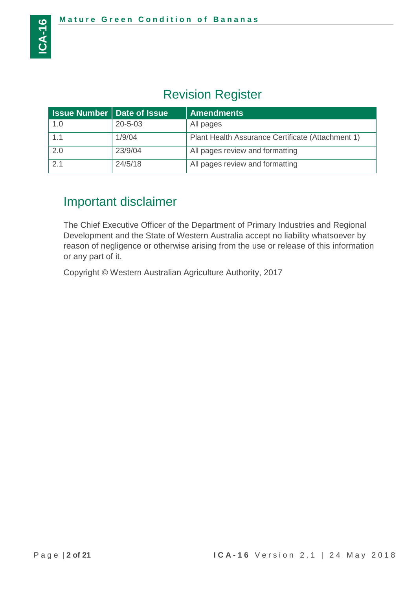# Revision Register

| <b>Issue Number   Date of Issue</b> |               | <b>Amendments</b>                                 |
|-------------------------------------|---------------|---------------------------------------------------|
| 1.0                                 | $20 - 5 - 03$ | All pages                                         |
| 1.1                                 | 1/9/04        | Plant Health Assurance Certificate (Attachment 1) |
| 2.0                                 | 23/9/04       | All pages review and formatting                   |
| 2.1                                 | 24/5/18       | All pages review and formatting                   |

# Important disclaimer

The Chief Executive Officer of the Department of Primary Industries and Regional Development and the State of Western Australia accept no liability whatsoever by reason of negligence or otherwise arising from the use or release of this information or any part of it.

Copyright © Western Australian Agriculture Authority, 2017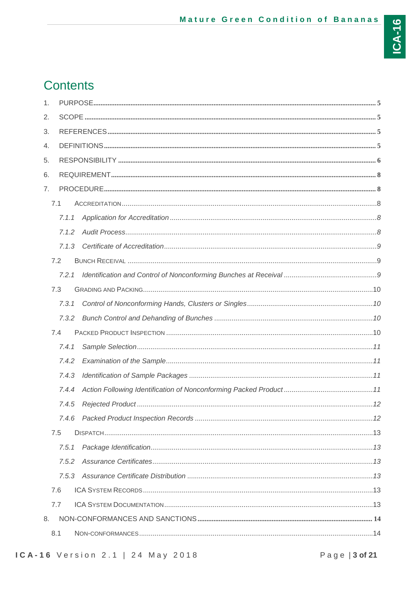# **Contents**

| 1. |       |  |
|----|-------|--|
| 2. |       |  |
| 3. |       |  |
| 4. |       |  |
| 5. |       |  |
| 6. |       |  |
| 7. |       |  |
|    | 7.1   |  |
|    | 7.1.1 |  |
|    | 7.1.2 |  |
|    | 713   |  |
|    | 7.2   |  |
|    | 7.2.1 |  |
|    | 7.3   |  |
|    | 7.3.1 |  |
|    | 7.3.2 |  |
|    | 7.4   |  |
|    | 7.4.1 |  |
|    | 7.4.2 |  |
|    | 7.4.3 |  |
|    | 7.4.4 |  |
|    | 7.4.5 |  |
|    | 7.4.6 |  |
|    | 7.5   |  |
|    | 7.5.1 |  |
|    | 7.5.2 |  |
|    | 7.5.3 |  |
|    | 7.6   |  |
|    |       |  |
|    | 7.7   |  |
| 8. |       |  |
|    | 8.1   |  |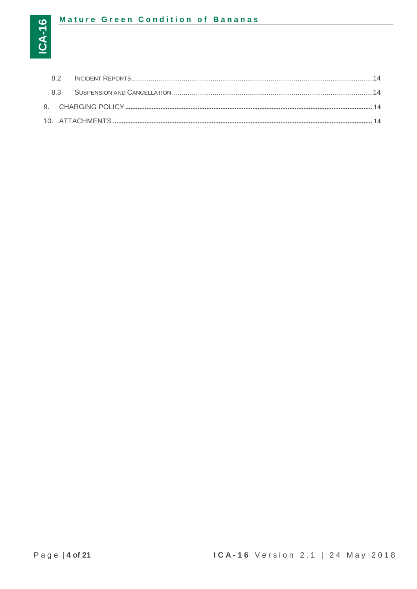## Mature Green Condition of Bananas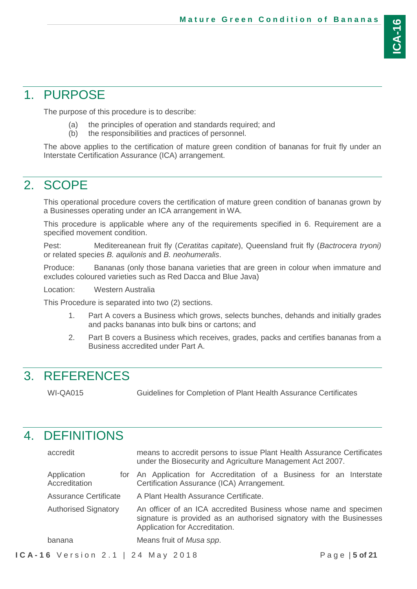# <span id="page-4-0"></span>1. PURPOSE

The purpose of this procedure is to describe:

- (a) the principles of operation and standards required; and
- (b) the responsibilities and practices of personnel.

<span id="page-4-1"></span>The above applies to the certification of mature green condition of bananas for fruit fly under an Interstate Certification Assurance (ICA) arrangement.

# 2. SCOPE

This operational procedure covers the certification of mature green condition of bananas grown by a Businesses operating under an ICA arrangement in WA.

This procedure is applicable where any of the requirements specified in 6. Requirement are a specified movement condition.

Pest: Meditereanean fruit fly (*Ceratitas capitate*), Queensland fruit fly (*Bactrocera tryoni)* or related species *B. aquilonis* and *B. neohumeralis*.

Produce: Bananas (only those banana varieties that are green in colour when immature and excludes coloured varieties such as Red Dacca and Blue Java)

Location: Western Australia

This Procedure is separated into two (2) sections.

- 1. Part A covers a Business which grows, selects bunches, dehands and initially grades and packs bananas into bulk bins or cartons; and
- 2. Part B covers a Business which receives, grades, packs and certifies bananas from a Business accredited under Part A.

# <span id="page-4-2"></span>3. REFERENCES

WI-QA015 Guidelines for Completion of Plant Health Assurance Certificates

# <span id="page-4-3"></span>4. DEFINITIONS

| accredit                     | means to accredit persons to issue Plant Health Assurance Certificates<br>under the Biosecurity and Agriculture Management Act 2007.                                       |  |  |
|------------------------------|----------------------------------------------------------------------------------------------------------------------------------------------------------------------------|--|--|
| Application<br>Accreditation | for An Application for Accreditation of a Business for an Interstate<br>Certification Assurance (ICA) Arrangement.                                                         |  |  |
| Assurance Certificate        | A Plant Health Assurance Certificate.                                                                                                                                      |  |  |
| <b>Authorised Signatory</b>  | An officer of an ICA accredited Business whose name and specimen<br>signature is provided as an authorised signatory with the Businesses<br>Application for Accreditation. |  |  |
| banana                       | Means fruit of Musa spp.                                                                                                                                                   |  |  |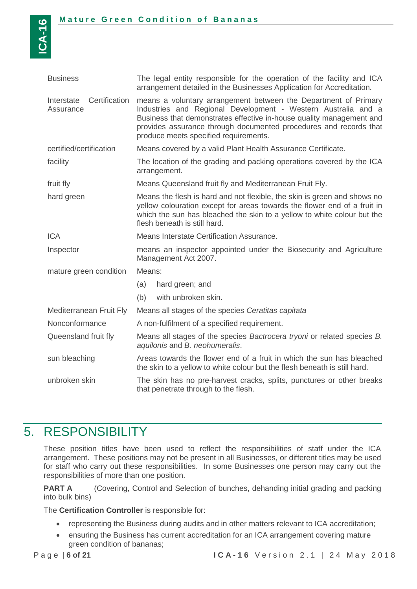| <b>Business</b>                          | The legal entity responsible for the operation of the facility and ICA<br>arrangement detailed in the Businesses Application for Accreditation.                                                                                                                                                                        |  |  |
|------------------------------------------|------------------------------------------------------------------------------------------------------------------------------------------------------------------------------------------------------------------------------------------------------------------------------------------------------------------------|--|--|
| Certification<br>Interstate<br>Assurance | means a voluntary arrangement between the Department of Primary<br>Industries and Regional Development - Western Australia and a<br>Business that demonstrates effective in-house quality management and<br>provides assurance through documented procedures and records that<br>produce meets specified requirements. |  |  |
| certified/certification                  | Means covered by a valid Plant Health Assurance Certificate.                                                                                                                                                                                                                                                           |  |  |
| facility                                 | The location of the grading and packing operations covered by the ICA<br>arrangement.                                                                                                                                                                                                                                  |  |  |
| fruit fly                                | Means Queensland fruit fly and Mediterranean Fruit Fly.                                                                                                                                                                                                                                                                |  |  |
| hard green                               | Means the flesh is hard and not flexible, the skin is green and shows no<br>yellow colouration except for areas towards the flower end of a fruit in<br>which the sun has bleached the skin to a yellow to white colour but the<br>flesh beneath is still hard.                                                        |  |  |
| <b>ICA</b>                               | Means Interstate Certification Assurance.                                                                                                                                                                                                                                                                              |  |  |
| Inspector                                | means an inspector appointed under the Biosecurity and Agriculture<br>Management Act 2007.                                                                                                                                                                                                                             |  |  |
| mature green condition                   | Means:                                                                                                                                                                                                                                                                                                                 |  |  |
|                                          | (a)<br>hard green; and                                                                                                                                                                                                                                                                                                 |  |  |
|                                          | (b)<br>with unbroken skin.                                                                                                                                                                                                                                                                                             |  |  |
| Mediterranean Fruit Fly                  | Means all stages of the species Ceratitas capitata                                                                                                                                                                                                                                                                     |  |  |
| Nonconformance                           | A non-fulfilment of a specified requirement.                                                                                                                                                                                                                                                                           |  |  |
| Queensland fruit fly                     | Means all stages of the species Bactrocera tryoni or related species B.<br>aquilonis and B. neohumeralis.                                                                                                                                                                                                              |  |  |
| sun bleaching                            | Areas towards the flower end of a fruit in which the sun has bleached<br>the skin to a yellow to white colour but the flesh beneath is still hard.                                                                                                                                                                     |  |  |
| unbroken skin                            | The skin has no pre-harvest cracks, splits, punctures or other breaks<br>that penetrate through to the flesh.                                                                                                                                                                                                          |  |  |

# <span id="page-5-0"></span>5. RESPONSIBILITY

These position titles have been used to reflect the responsibilities of staff under the ICA arrangement. These positions may not be present in all Businesses, or different titles may be used for staff who carry out these responsibilities. In some Businesses one person may carry out the responsibilities of more than one position.

**PART A** (Covering, Control and Selection of bunches, dehanding initial grading and packing into bulk bins)

The **Certification Controller** is responsible for:

- representing the Business during audits and in other matters relevant to ICA accreditation;
- ensuring the Business has current accreditation for an ICA arrangement covering mature green condition of bananas;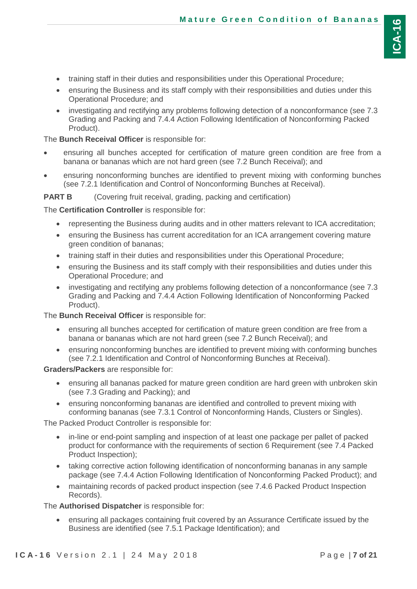- training staff in their duties and responsibilities under this Operational Procedure;
- ensuring the Business and its staff comply with their responsibilities and duties under this Operational Procedure; and
- investigating and rectifying any problems following detection of a nonconformance (see 7.3 Grading and Packing and 7.4.4 Action Following Identification of Nonconforming Packed Product).

The **Bunch Receival Officer** is responsible for:

- ensuring all bunches accepted for certification of mature green condition are free from a banana or bananas which are not hard green (see 7.2 Bunch Receival); and
- ensuring nonconforming bunches are identified to prevent mixing with conforming bunches (see 7.2.1 Identification and Control of Nonconforming Bunches at Receival).

**PART B** (Covering fruit receival, grading, packing and certification)

The **Certification Controller** is responsible for:

- representing the Business during audits and in other matters relevant to ICA accreditation;
- ensuring the Business has current accreditation for an ICA arrangement covering mature green condition of bananas:
- training staff in their duties and responsibilities under this Operational Procedure;
- ensuring the Business and its staff comply with their responsibilities and duties under this Operational Procedure; and
- investigating and rectifying any problems following detection of a nonconformance (see 7.3 Grading and Packing and 7.4.4 Action Following Identification of Nonconforming Packed Product).

The **Bunch Receival Officer** is responsible for:

- ensuring all bunches accepted for certification of mature green condition are free from a banana or bananas which are not hard green (see 7.2 Bunch Receival); and
- ensuring nonconforming bunches are identified to prevent mixing with conforming bunches (see 7.2.1 Identification and Control of Nonconforming Bunches at Receival).

**Graders/Packers** are responsible for:

- ensuring all bananas packed for mature green condition are hard green with unbroken skin (see 7.3 Grading and Packing); and
- ensuring nonconforming bananas are identified and controlled to prevent mixing with conforming bananas (see 7.3.1 Control of Nonconforming Hands, Clusters or Singles).

The Packed Product Controller is responsible for:

- in-line or end-point sampling and inspection of at least one package per pallet of packed product for conformance with the requirements of section 6 Requirement (see 7.4 Packed Product Inspection);
- taking corrective action following identification of nonconforming bananas in any sample package (see 7.4.4 Action Following Identification of Nonconforming Packed Product); and
- maintaining records of packed product inspection (see 7.4.6 Packed Product Inspection Records).

The **Authorised Dispatcher** is responsible for:

 ensuring all packages containing fruit covered by an Assurance Certificate issued by the Business are identified (see 7.5.1 Package Identification); and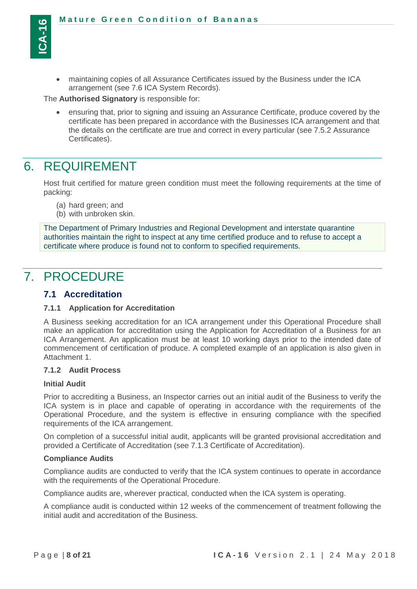

 maintaining copies of all Assurance Certificates issued by the Business under the ICA arrangement (see 7.6 ICA System Records).

The **Authorised Signatory** is responsible for:

 ensuring that, prior to signing and issuing an Assurance Certificate, produce covered by the certificate has been prepared in accordance with the Businesses ICA arrangement and that the details on the certificate are true and correct in every particular (see 7.5.2 Assurance Certificates).

## <span id="page-7-0"></span>6. REQUIREMENT

Host fruit certified for mature green condition must meet the following requirements at the time of packing:

- (a) hard green; and
- (b) with unbroken skin.

The Department of Primary Industries and Regional Development and interstate quarantine authorities maintain the right to inspect at any time certified produce and to refuse to accept a certificate where produce is found not to conform to specified requirements.

## <span id="page-7-1"></span>7. PROCEDURE

#### <span id="page-7-2"></span>**7.1 Accreditation**

#### <span id="page-7-3"></span>**7.1.1 Application for Accreditation**

A Business seeking accreditation for an ICA arrangement under this Operational Procedure shall make an application for accreditation using the Application for Accreditation of a Business for an ICA Arrangement. An application must be at least 10 working days prior to the intended date of commencement of certification of produce. A completed example of an application is also given in Attachment 1.

#### <span id="page-7-4"></span>**7.1.2 Audit Process**

#### **Initial Audit**

Prior to accrediting a Business, an Inspector carries out an initial audit of the Business to verify the ICA system is in place and capable of operating in accordance with the requirements of the Operational Procedure, and the system is effective in ensuring compliance with the specified requirements of the ICA arrangement.

On completion of a successful initial audit, applicants will be granted provisional accreditation and provided a Certificate of Accreditation (see 7.1.3 Certificate of Accreditation).

#### **Compliance Audits**

Compliance audits are conducted to verify that the ICA system continues to operate in accordance with the requirements of the Operational Procedure.

Compliance audits are, wherever practical, conducted when the ICA system is operating.

A compliance audit is conducted within 12 weeks of the commencement of treatment following the initial audit and accreditation of the Business.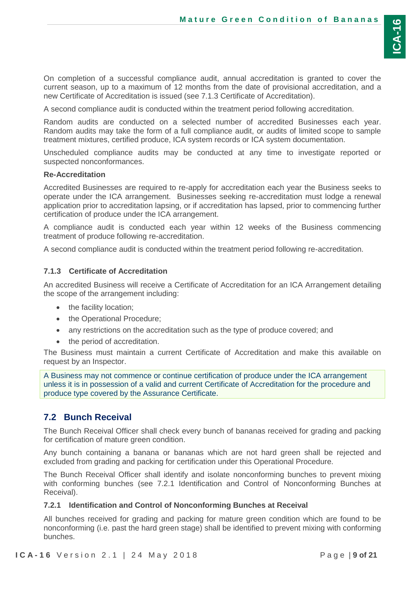On completion of a successful compliance audit, annual accreditation is granted to cover the current season, up to a maximum of 12 months from the date of provisional accreditation, and a new Certificate of Accreditation is issued (see 7.1.3 Certificate of Accreditation).

A second compliance audit is conducted within the treatment period following accreditation.

Random audits are conducted on a selected number of accredited Businesses each year. Random audits may take the form of a full compliance audit, or audits of limited scope to sample treatment mixtures, certified produce, ICA system records or ICA system documentation.

Unscheduled compliance audits may be conducted at any time to investigate reported or suspected nonconformances.

#### **Re-Accreditation**

Accredited Businesses are required to re-apply for accreditation each year the Business seeks to operate under the ICA arrangement. Businesses seeking re-accreditation must lodge a renewal application prior to accreditation lapsing, or if accreditation has lapsed, prior to commencing further certification of produce under the ICA arrangement.

A compliance audit is conducted each year within 12 weeks of the Business commencing treatment of produce following re-accreditation.

A second compliance audit is conducted within the treatment period following re-accreditation.

### <span id="page-8-0"></span>**7.1.3 Certificate of Accreditation**

An accredited Business will receive a Certificate of Accreditation for an ICA Arrangement detailing the scope of the arrangement including:

- the facility location;
- the Operational Procedure;
- any restrictions on the accreditation such as the type of produce covered; and
- the period of accreditation.

The Business must maintain a current Certificate of Accreditation and make this available on request by an Inspector.

A Business may not commence or continue certification of produce under the ICA arrangement unless it is in possession of a valid and current Certificate of Accreditation for the procedure and produce type covered by the Assurance Certificate.

## <span id="page-8-1"></span>**7.2 Bunch Receival**

The Bunch Receival Officer shall check every bunch of bananas received for grading and packing for certification of mature green condition.

Any bunch containing a banana or bananas which are not hard green shall be rejected and excluded from grading and packing for certification under this Operational Procedure.

The Bunch Receival Officer shall identify and isolate nonconforming bunches to prevent mixing with conforming bunches (see 7.2.1 Identification and Control of Nonconforming Bunches at Receival).

## <span id="page-8-2"></span>**7.2.1 Identification and Control of Nonconforming Bunches at Receival**

All bunches received for grading and packing for mature green condition which are found to be nonconforming (i.e. past the hard green stage) shall be identified to prevent mixing with conforming bunches.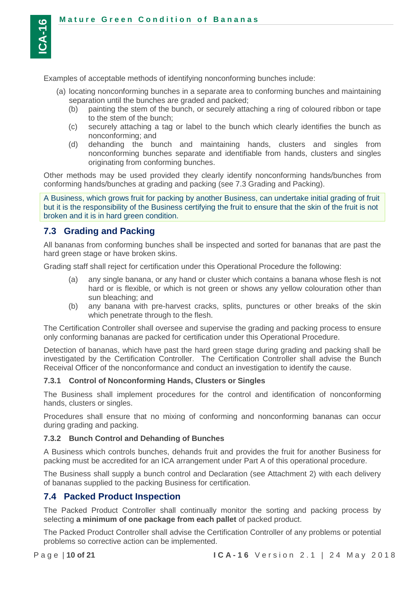Examples of acceptable methods of identifying nonconforming bunches include:

- (a) locating nonconforming bunches in a separate area to conforming bunches and maintaining separation until the bunches are graded and packed;
	- (b) painting the stem of the bunch, or securely attaching a ring of coloured ribbon or tape to the stem of the bunch;
	- (c) securely attaching a tag or label to the bunch which clearly identifies the bunch as nonconforming; and
	- (d) dehanding the bunch and maintaining hands, clusters and singles from nonconforming bunches separate and identifiable from hands, clusters and singles originating from conforming bunches.

Other methods may be used provided they clearly identify nonconforming hands/bunches from conforming hands/bunches at grading and packing (see 7.3 Grading and Packing).

A Business, which grows fruit for packing by another Business, can undertake initial grading of fruit but it is the responsibility of the Business certifying the fruit to ensure that the skin of the fruit is not broken and it is in hard green condition.

#### <span id="page-9-0"></span>**7.3 Grading and Packing**

All bananas from conforming bunches shall be inspected and sorted for bananas that are past the hard green stage or have broken skins.

Grading staff shall reject for certification under this Operational Procedure the following:

- (a) any single banana, or any hand or cluster which contains a banana whose flesh is not hard or is flexible, or which is not green or shows any yellow colouration other than sun bleaching; and
- (b) any banana with pre-harvest cracks, splits, punctures or other breaks of the skin which penetrate through to the flesh.

The Certification Controller shall oversee and supervise the grading and packing process to ensure only conforming bananas are packed for certification under this Operational Procedure.

Detection of bananas, which have past the hard green stage during grading and packing shall be investigated by the Certification Controller. The Certification Controller shall advise the Bunch Receival Officer of the nonconformance and conduct an investigation to identify the cause.

#### <span id="page-9-1"></span>**7.3.1 Control of Nonconforming Hands, Clusters or Singles**

The Business shall implement procedures for the control and identification of nonconforming hands, clusters or singles.

Procedures shall ensure that no mixing of conforming and nonconforming bananas can occur during grading and packing.

#### <span id="page-9-2"></span>**7.3.2 Bunch Control and Dehanding of Bunches**

A Business which controls bunches, dehands fruit and provides the fruit for another Business for packing must be accredited for an ICA arrangement under Part A of this operational procedure.

The Business shall supply a bunch control and Declaration (see Attachment 2) with each delivery of bananas supplied to the packing Business for certification.

#### <span id="page-9-3"></span>**7.4 Packed Product Inspection**

The Packed Product Controller shall continually monitor the sorting and packing process by selecting **a minimum of one package from each pallet** of packed product.

The Packed Product Controller shall advise the Certification Controller of any problems or potential problems so corrective action can be implemented.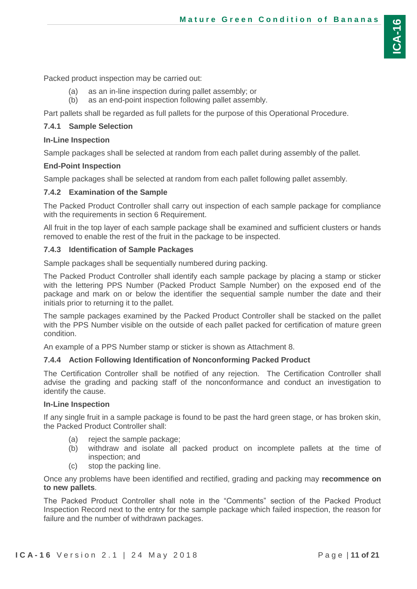Packed product inspection may be carried out:

- (a) as an in-line inspection during pallet assembly; or
- (b) as an end-point inspection following pallet assembly.

Part pallets shall be regarded as full pallets for the purpose of this Operational Procedure.

### <span id="page-10-0"></span>**7.4.1 Sample Selection**

#### **In-Line Inspection**

Sample packages shall be selected at random from each pallet during assembly of the pallet.

#### **End-Point Inspection**

Sample packages shall be selected at random from each pallet following pallet assembly.

### <span id="page-10-1"></span>**7.4.2 Examination of the Sample**

The Packed Product Controller shall carry out inspection of each sample package for compliance with the requirements in section 6 Requirement.

All fruit in the top layer of each sample package shall be examined and sufficient clusters or hands removed to enable the rest of the fruit in the package to be inspected.

### <span id="page-10-2"></span>**7.4.3 Identification of Sample Packages**

Sample packages shall be sequentially numbered during packing.

The Packed Product Controller shall identify each sample package by placing a stamp or sticker with the lettering PPS Number (Packed Product Sample Number) on the exposed end of the package and mark on or below the identifier the sequential sample number the date and their initials prior to returning it to the pallet.

The sample packages examined by the Packed Product Controller shall be stacked on the pallet with the PPS Number visible on the outside of each pallet packed for certification of mature green condition.

An example of a PPS Number stamp or sticker is shown as Attachment 8.

## <span id="page-10-3"></span>**7.4.4 Action Following Identification of Nonconforming Packed Product**

The Certification Controller shall be notified of any rejection. The Certification Controller shall advise the grading and packing staff of the nonconformance and conduct an investigation to identify the cause.

#### **In-Line Inspection**

If any single fruit in a sample package is found to be past the hard green stage, or has broken skin, the Packed Product Controller shall:

- (a) reject the sample package;
- (b) withdraw and isolate all packed product on incomplete pallets at the time of inspection; and
- (c) stop the packing line.

Once any problems have been identified and rectified, grading and packing may **recommence on to new pallets**.

The Packed Product Controller shall note in the "Comments" section of the Packed Product Inspection Record next to the entry for the sample package which failed inspection, the reason for failure and the number of withdrawn packages.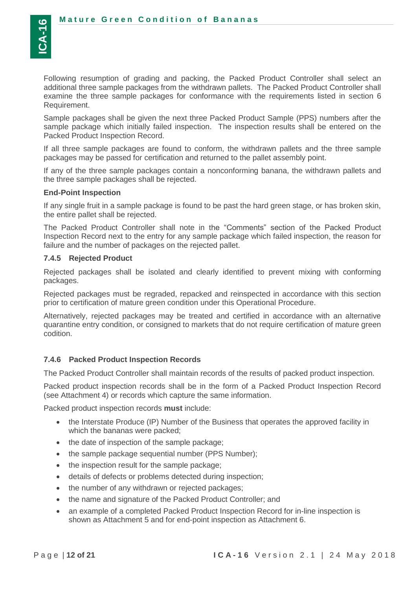Following resumption of grading and packing, the Packed Product Controller shall select an additional three sample packages from the withdrawn pallets. The Packed Product Controller shall examine the three sample packages for conformance with the requirements listed in section 6 Requirement.

Sample packages shall be given the next three Packed Product Sample (PPS) numbers after the sample package which initially failed inspection. The inspection results shall be entered on the Packed Product Inspection Record.

If all three sample packages are found to conform, the withdrawn pallets and the three sample packages may be passed for certification and returned to the pallet assembly point.

If any of the three sample packages contain a nonconforming banana, the withdrawn pallets and the three sample packages shall be rejected.

#### **End-Point Inspection**

If any single fruit in a sample package is found to be past the hard green stage, or has broken skin, the entire pallet shall be rejected.

The Packed Product Controller shall note in the "Comments" section of the Packed Product Inspection Record next to the entry for any sample package which failed inspection, the reason for failure and the number of packages on the rejected pallet.

#### <span id="page-11-0"></span>**7.4.5 Rejected Product**

Rejected packages shall be isolated and clearly identified to prevent mixing with conforming packages.

Rejected packages must be regraded, repacked and reinspected in accordance with this section prior to certification of mature green condition under this Operational Procedure.

Alternatively, rejected packages may be treated and certified in accordance with an alternative quarantine entry condition, or consigned to markets that do not require certification of mature green codition.

#### <span id="page-11-1"></span>**7.4.6 Packed Product Inspection Records**

The Packed Product Controller shall maintain records of the results of packed product inspection.

Packed product inspection records shall be in the form of a Packed Product Inspection Record (see Attachment 4) or records which capture the same information.

Packed product inspection records **must** include:

- the Interstate Produce (IP) Number of the Business that operates the approved facility in which the bananas were packed;
- the date of inspection of the sample package;
- the sample package sequential number (PPS Number);
- the inspection result for the sample package;
- details of defects or problems detected during inspection;
- the number of any withdrawn or rejected packages;
- the name and signature of the Packed Product Controller; and
- an example of a completed Packed Product Inspection Record for in-line inspection is shown as Attachment 5 and for end-point inspection as Attachment 6.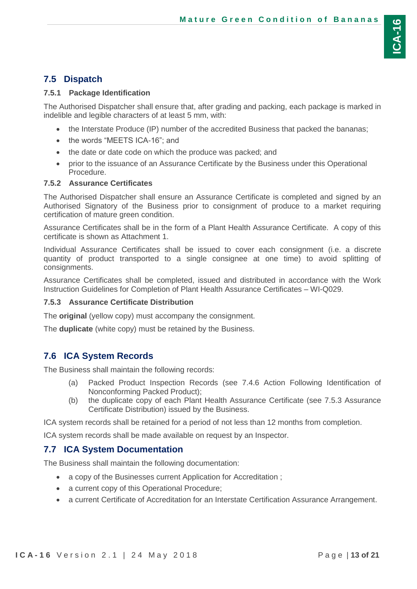## <span id="page-12-0"></span>**7.5 Dispatch**

#### <span id="page-12-1"></span>**7.5.1 Package Identification**

The Authorised Dispatcher shall ensure that, after grading and packing, each package is marked in indelible and legible characters of at least 5 mm, with:

- the Interstate Produce (IP) number of the accredited Business that packed the bananas;
- the words "MEETS ICA-16"; and
- the date or date code on which the produce was packed; and
- prior to the issuance of an Assurance Certificate by the Business under this Operational Procedure.

#### <span id="page-12-2"></span>**7.5.2 Assurance Certificates**

The Authorised Dispatcher shall ensure an Assurance Certificate is completed and signed by an Authorised Signatory of the Business prior to consignment of produce to a market requiring certification of mature green condition.

Assurance Certificates shall be in the form of a Plant Health Assurance Certificate. A copy of this certificate is shown as Attachment 1.

Individual Assurance Certificates shall be issued to cover each consignment (i.e. a discrete quantity of product transported to a single consignee at one time) to avoid splitting of consignments.

Assurance Certificates shall be completed, issued and distributed in accordance with the Work Instruction Guidelines for Completion of Plant Health Assurance Certificates – WI-Q029.

#### <span id="page-12-3"></span>**7.5.3 Assurance Certificate Distribution**

The **original** (yellow copy) must accompany the consignment.

The **duplicate** (white copy) must be retained by the Business.

## <span id="page-12-4"></span>**7.6 ICA System Records**

The Business shall maintain the following records:

- (a) Packed Product Inspection Records (see 7.4.6 Action Following Identification of Nonconforming Packed Product);
- (b) the duplicate copy of each Plant Health Assurance Certificate (see 7.5.3 Assurance Certificate Distribution) issued by the Business.

ICA system records shall be retained for a period of not less than 12 months from completion.

ICA system records shall be made available on request by an Inspector.

## <span id="page-12-5"></span>**7.7 ICA System Documentation**

The Business shall maintain the following documentation:

- a copy of the Businesses current Application for Accreditation;
- a current copy of this Operational Procedure;
- a current Certificate of Accreditation for an Interstate Certification Assurance Arrangement.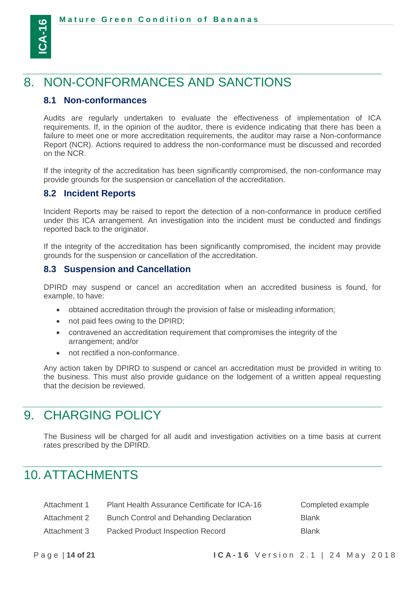

<u>(ပ</u>

# <span id="page-13-0"></span>8. NON-CONFORMANCES AND SANCTIONS

### <span id="page-13-1"></span>**8.1 Non-conformances**

Audits are regularly undertaken to evaluate the effectiveness of implementation of ICA requirements. If, in the opinion of the auditor, there is evidence indicating that there has been a failure to meet one or more accreditation requirements, the auditor may raise a Non-conformance Report (NCR). Actions required to address the non-conformance must be discussed and recorded on the NCR.

If the integrity of the accreditation has been significantly compromised, the non-conformance may provide grounds for the suspension or cancellation of the accreditation.

#### <span id="page-13-2"></span>**8.2 Incident Reports**

Incident Reports may be raised to report the detection of a non-conformance in produce certified under this ICA arrangement. An investigation into the incident must be conducted and findings reported back to the originator.

If the integrity of the accreditation has been significantly compromised, the incident may provide grounds for the suspension or cancellation of the accreditation.

#### <span id="page-13-3"></span>**8.3 Suspension and Cancellation**

DPIRD may suspend or cancel an accreditation when an accredited business is found, for example, to have:

- obtained accreditation through the provision of false or misleading information;
- not paid fees owing to the DPIRD;
- contravened an accreditation requirement that compromises the integrity of the arrangement; and/or
- not rectified a non-conformance.

Any action taken by DPIRD to suspend or cancel an accreditation must be provided in writing to the business. This must also provide guidance on the lodgement of a written appeal requesting that the decision be reviewed.

# <span id="page-13-4"></span>9. CHARGING POLICY

<span id="page-13-5"></span>The Business will be charged for all audit and investigation activities on a time basis at current rates prescribed by the DPIRD.

# 10. ATTACHMENTS

| Attachment 1 | Plant Health Assurance Certificate for ICA-16 | Completed example |
|--------------|-----------------------------------------------|-------------------|
| Attachment 2 | Bunch Control and Dehanding Declaration       | <b>Blank</b>      |
| Attachment 3 | Packed Product Inspection Record              | <b>Blank</b>      |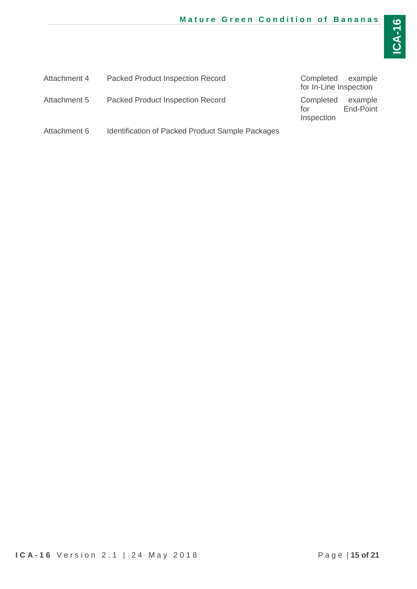| Attachment 4 | <b>Packed Product Inspection Record</b>                 | Completed example<br>for In-Line Inspection |                      |
|--------------|---------------------------------------------------------|---------------------------------------------|----------------------|
| Attachment 5 | <b>Packed Product Inspection Record</b>                 | Completed<br>for<br>Inspection              | example<br>End-Point |
| Attachment 6 | <b>Identification of Packed Product Sample Packages</b> |                                             |                      |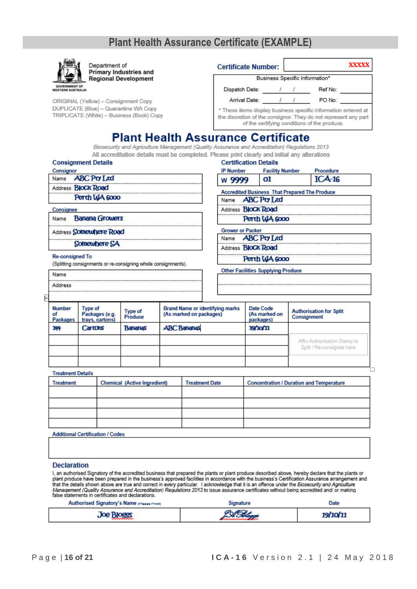# **Plant Health Assurance Certificate (EXAMPLE)**

| Department of<br>Primary Industries and<br><b>Regional Development</b>                  |                                              | XXXXX<br><b>Certificate Number:</b>                                                                                                                                               |                                                                                               |                                                      |                                           |  |                                               |
|-----------------------------------------------------------------------------------------|----------------------------------------------|-----------------------------------------------------------------------------------------------------------------------------------------------------------------------------------|-----------------------------------------------------------------------------------------------|------------------------------------------------------|-------------------------------------------|--|-----------------------------------------------|
|                                                                                         |                                              | Business Specific Information*                                                                                                                                                    |                                                                                               |                                                      |                                           |  |                                               |
| <b>GOVERNMENT OF</b><br><b>WESTERN AUSTRALIA</b>                                        |                                              |                                                                                                                                                                                   |                                                                                               |                                                      | Dispatch Date: / /                        |  | Ref No:                                       |
| ORIGINAL (Yellow) - Consignment Copy                                                    |                                              |                                                                                                                                                                                   |                                                                                               |                                                      | Arrival Date: 1 /                         |  | PO No:                                        |
| DUPLICATE (Blue) - Quarantine WA Copy<br>TRIPLICATE (White) - Business (Book) Copy      |                                              | * These items display business specific information entered at<br>the discretion of the consignor. They do not represent any part<br>of the certifying conditions of the produce. |                                                                                               |                                                      |                                           |  |                                               |
|                                                                                         |                                              |                                                                                                                                                                                   | <b>Plant Health Assurance Certificate</b>                                                     |                                                      |                                           |  |                                               |
|                                                                                         |                                              |                                                                                                                                                                                   | Biosecurity and Agriculture Management (Quality Assurance and Accreditation) Regulations 2013 |                                                      |                                           |  |                                               |
|                                                                                         |                                              |                                                                                                                                                                                   | All accreditation details must be completed. Please print clearly and initial any alterations |                                                      |                                           |  |                                               |
| <b>Consignment Details</b><br>Consignor                                                 |                                              |                                                                                                                                                                                   |                                                                                               | IP Number                                            | <b>Certification Details</b>              |  |                                               |
| Name <b>ABC Pty Ltd</b>                                                                 |                                              |                                                                                                                                                                                   |                                                                                               | w 9999                                               | <b>Facility Number</b><br>ОI              |  | Procedure<br>$ICA-16$                         |
| Address <b>BloCk Road</b>                                                               |                                              |                                                                                                                                                                                   |                                                                                               |                                                      |                                           |  |                                               |
|                                                                                         | Perth WA 6000                                |                                                                                                                                                                                   |                                                                                               | <b>Accredited Business That Prepared The Produce</b> |                                           |  |                                               |
|                                                                                         |                                              |                                                                                                                                                                                   |                                                                                               |                                                      | Name <b>ABC Pty Ltd</b>                   |  |                                               |
| Consignee                                                                               |                                              |                                                                                                                                                                                   |                                                                                               |                                                      | Address <b>BloCk Road</b>                 |  |                                               |
| Name                                                                                    | <b>Banana Growers</b>                        |                                                                                                                                                                                   |                                                                                               |                                                      | Perth WA 6000                             |  |                                               |
| Address <b>Somewhere Road</b>                                                           |                                              |                                                                                                                                                                                   |                                                                                               | <b>Grower or Packer</b>                              |                                           |  |                                               |
|                                                                                         | Somewhere SA                                 |                                                                                                                                                                                   |                                                                                               |                                                      | Name <b>ABC Pty Ltd</b>                   |  |                                               |
|                                                                                         |                                              |                                                                                                                                                                                   |                                                                                               |                                                      | Address <b>BloCk Road</b>                 |  |                                               |
| <b>Re-consigned To</b><br>(Splitting consignments or re-consigning whole consignments). |                                              |                                                                                                                                                                                   |                                                                                               |                                                      | Perth WA 6000                             |  |                                               |
| Name                                                                                    |                                              |                                                                                                                                                                                   |                                                                                               |                                                      | <b>Other Facilities Supplying Produce</b> |  |                                               |
| Address                                                                                 |                                              |                                                                                                                                                                                   |                                                                                               |                                                      |                                           |  |                                               |
| Þ                                                                                       |                                              |                                                                                                                                                                                   |                                                                                               |                                                      |                                           |  |                                               |
| <b>Number</b><br>σf<br>Packages                                                         | Type of<br>Packages (e.g.<br>trays, cartons) | Type of<br>Produce                                                                                                                                                                | <b>Brand Name or identifying marks</b><br>(As marked on packages)                             |                                                      | Date Code<br>(As marked on<br>packages)   |  | <b>Authorisation for Split</b><br>Consignment |
| 144                                                                                     | Cartons                                      | <b>Bahahas</b>                                                                                                                                                                    | <b>ABC Bahahas</b>                                                                            |                                                      | <b>19/10/11</b>                           |  |                                               |

**Treatment Details** 

| Treatment | Chemical (Active Ingredient) | <b>Treatment Date</b> | <b>Concentration / Duration and Temperature</b> |
|-----------|------------------------------|-----------------------|-------------------------------------------------|
|           |                              |                       |                                                 |
|           |                              |                       |                                                 |
|           |                              |                       |                                                 |
|           |                              |                       |                                                 |
|           |                              |                       |                                                 |

**Additional Certification / Codes** 

#### **Declaration**

I, an authorised Signatory of the accredited business that prepared the plants or plant produce described above, hereby declare that the plants or<br>plant produce have been prepared in the business's approved facilities in a

| Authorised Signatory's Name presse Print | signature | Date     |
|------------------------------------------|-----------|----------|
| <b>Joe Bloggs</b>                        | ISBN      | 19/10/11 |

Affix Authorisation Stamp to Split / Re-consignee here

□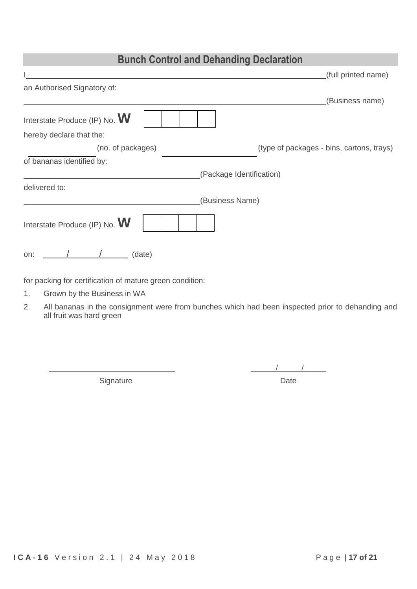## **Bunch Control and Dehanding Declaration**

|                               | (full printed name)                       |
|-------------------------------|-------------------------------------------|
| an Authorised Signatory of:   |                                           |
|                               | (Business name)                           |
| Interstate Produce (IP) No. W |                                           |
| hereby declare that the:      |                                           |
| (no. of packages)             | (type of packages - bins, cartons, trays) |
| of bananas identified by:     |                                           |
| (Package Identification)      |                                           |
| delivered to:                 |                                           |
| (Business Name)               |                                           |
| Interstate Produce (IP) No. W |                                           |
| (date)<br>on:                 |                                           |

for packing for certification of mature green condition:

- 1. Grown by the Business in WA
- 2. All bananas in the consignment were from bunches which had been inspected prior to dehanding and all fruit was hard green

Signature Date

/ /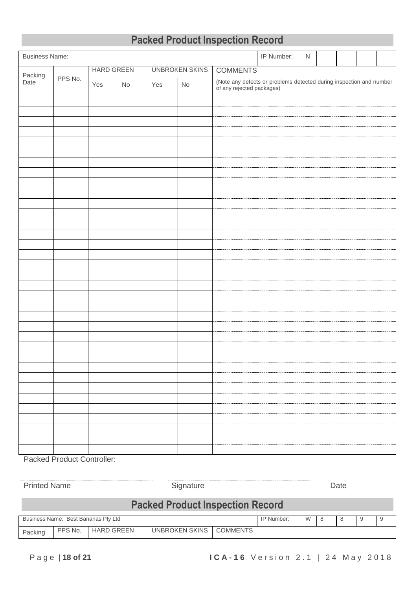| <b>Packed Product Inspection Record</b> |  |
|-----------------------------------------|--|
|-----------------------------------------|--|

| <b>Business Name:</b> |         |                   |    |     |                       | IP Number:<br>${\sf N}$                                                                       |  |
|-----------------------|---------|-------------------|----|-----|-----------------------|-----------------------------------------------------------------------------------------------|--|
|                       |         | <b>HARD GREEN</b> |    |     | <b>UNBROKEN SKINS</b> | <b>COMMENTS</b>                                                                               |  |
| Packing<br>Date       | PPS No. | Yes               | No | Yes | $\mathsf{No}$         | (Note any defects or problems detected during inspection and number of any rejected packages) |  |
|                       |         |                   |    |     |                       |                                                                                               |  |
|                       |         |                   |    |     |                       |                                                                                               |  |
|                       |         |                   |    |     |                       |                                                                                               |  |
|                       |         |                   |    |     |                       |                                                                                               |  |
|                       |         |                   |    |     |                       |                                                                                               |  |
|                       |         |                   |    |     |                       |                                                                                               |  |
|                       |         |                   |    |     |                       |                                                                                               |  |
|                       |         |                   |    |     |                       |                                                                                               |  |
|                       |         |                   |    |     |                       |                                                                                               |  |
|                       |         |                   |    |     |                       |                                                                                               |  |
|                       |         |                   |    |     |                       |                                                                                               |  |
|                       |         |                   |    |     |                       |                                                                                               |  |
|                       |         |                   |    |     |                       |                                                                                               |  |
|                       |         |                   |    |     |                       |                                                                                               |  |
|                       |         |                   |    |     |                       |                                                                                               |  |
|                       |         |                   |    |     |                       |                                                                                               |  |
|                       |         |                   |    |     |                       |                                                                                               |  |
|                       |         |                   |    |     |                       |                                                                                               |  |
|                       |         |                   |    |     |                       |                                                                                               |  |
|                       |         |                   |    |     |                       |                                                                                               |  |
|                       |         |                   |    |     |                       |                                                                                               |  |
|                       |         |                   |    |     |                       |                                                                                               |  |
|                       |         |                   |    |     |                       |                                                                                               |  |
|                       |         |                   |    |     |                       |                                                                                               |  |
|                       |         |                   |    |     |                       |                                                                                               |  |
|                       |         |                   |    |     |                       |                                                                                               |  |
|                       |         |                   |    |     |                       |                                                                                               |  |
|                       |         |                   |    |     |                       |                                                                                               |  |
|                       |         |                   |    |     |                       |                                                                                               |  |
|                       |         |                   |    |     |                       |                                                                                               |  |
|                       |         |                   |    |     |                       |                                                                                               |  |
|                       |         |                   |    |     |                       |                                                                                               |  |
|                       |         |                   |    |     |                       |                                                                                               |  |
|                       |         |                   |    |     |                       |                                                                                               |  |
|                       |         |                   |    |     |                       |                                                                                               |  |

Packed Product Controller:

| <b>Printed Name</b>                     |                                         |                           | Signature  |   |   |   |    |   |  | Date |  |  |
|-----------------------------------------|-----------------------------------------|---------------------------|------------|---|---|---|----|---|--|------|--|--|
|                                         | <b>Packed Product Inspection Record</b> |                           |            |   |   |   |    |   |  |      |  |  |
|                                         | Business Name: Best Bananas Pty Ltd     |                           | IP Number: | W | 8 | 8 | -9 | 9 |  |      |  |  |
| PPS No.<br><b>HARD GREEN</b><br>Packing |                                         | UNBROKEN SKINS   COMMENTS |            |   |   |   |    |   |  |      |  |  |
|                                         |                                         |                           |            |   |   |   |    |   |  |      |  |  |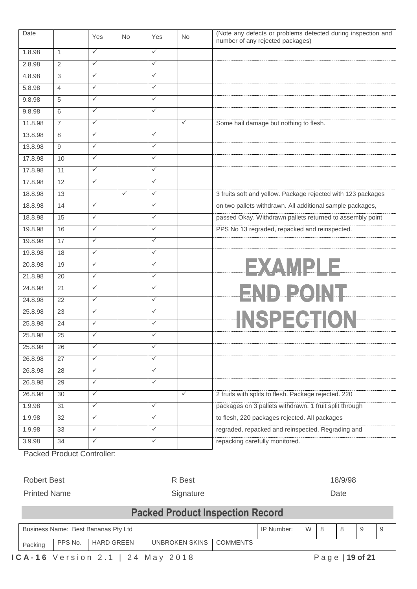| Date    |                 | Yes          | <b>No</b>    | Yes          | No.          | (Note any defects or problems detected during inspection and<br>number of any rejected packages) |
|---------|-----------------|--------------|--------------|--------------|--------------|--------------------------------------------------------------------------------------------------|
| 1.8.98  | $\mathbf{1}$    | $\checkmark$ |              | $\checkmark$ |              |                                                                                                  |
| 2.8.98  | $\overline{2}$  | $\checkmark$ |              | $\checkmark$ |              |                                                                                                  |
| 4.8.98  | 3               | $\checkmark$ |              | $\checkmark$ |              |                                                                                                  |
| 5.8.98  | $\overline{4}$  | $\checkmark$ |              | $\checkmark$ |              |                                                                                                  |
| 9.8.98  | 5               | $\checkmark$ |              | $\checkmark$ |              |                                                                                                  |
| 9.8.98  | 6               | $\checkmark$ |              | $\checkmark$ |              |                                                                                                  |
| 11.8.98 | $\overline{7}$  | $\checkmark$ |              |              | $\checkmark$ | Some hail damage but nothing to flesh.                                                           |
| 13.8.98 | 8               | $\checkmark$ |              | $\checkmark$ |              |                                                                                                  |
| 13.8.98 | 9               | $\checkmark$ |              | $\checkmark$ |              |                                                                                                  |
| 17.8.98 | 10              | $\checkmark$ |              | $\checkmark$ |              |                                                                                                  |
| 17.8.98 | 11              | $\checkmark$ |              | $\checkmark$ |              |                                                                                                  |
| 17.8.98 | 12              | $\checkmark$ |              | $\checkmark$ |              |                                                                                                  |
| 18.8.98 | 13              |              | $\checkmark$ | $\checkmark$ |              | 3 fruits soft and yellow. Package rejected with 123 packages                                     |
| 18.8.98 | 14              | $\checkmark$ |              | $\checkmark$ |              | on two pallets withdrawn. All additional sample packages,                                        |
| 18.8.98 | 15              | $\checkmark$ |              | $\checkmark$ |              | passed Okay. Withdrawn pallets returned to assembly point                                        |
| 19.8.98 | 16              | $\checkmark$ |              | $\checkmark$ |              | PPS No 13 regraded, repacked and reinspected.                                                    |
| 19.8.98 | 17              | $\checkmark$ |              | $\checkmark$ |              |                                                                                                  |
| 19.8.98 | 18              | $\checkmark$ |              | $\checkmark$ |              |                                                                                                  |
| 20.8.98 | 19              | $\checkmark$ |              | $\checkmark$ |              | 1 =>XZAM 2 0 =                                                                                   |
| 21.8.98 | 20              | $\checkmark$ |              | $\checkmark$ |              |                                                                                                  |
| 24.8.98 | 21              | $\checkmark$ |              | $\checkmark$ |              | END POINT                                                                                        |
| 24.8.98 | 22              | $\checkmark$ |              | $\checkmark$ |              |                                                                                                  |
| 25.8.98 | 23              | $\checkmark$ |              | $\checkmark$ |              |                                                                                                  |
| 25.8.98 | 24              | $\checkmark$ |              | $\checkmark$ |              | <b>INSPECTION</b>                                                                                |
| 25.8.98 | 25              | $\checkmark$ |              | $\checkmark$ |              |                                                                                                  |
| 25.8.98 | 26              | $\checkmark$ |              | $\checkmark$ |              |                                                                                                  |
| 26.8.98 | $\overline{27}$ | $\checkmark$ |              | $\checkmark$ |              |                                                                                                  |
| 26.8.98 | 28              | $\checkmark$ |              | $\checkmark$ |              |                                                                                                  |
| 26.8.98 | 29              | $\checkmark$ |              | $\checkmark$ |              |                                                                                                  |
| 26.8.98 | 30              | $\checkmark$ |              |              | $\checkmark$ | 2 fruits with splits to flesh. Package rejected. 220                                             |
| 1.9.98  | 31              | $\checkmark$ |              | $\checkmark$ |              | packages on 3 pallets withdrawn. 1 fruit split through                                           |
| 1.9.98  | 32              | $\checkmark$ |              | $\checkmark$ |              | to flesh, 220 packages rejected. All packages                                                    |
| 1.9.98  | 33              | $\checkmark$ |              | $\checkmark$ |              | regraded, repacked and reinspected. Regrading and                                                |
| 3.9.98  | 34              | $\checkmark$ |              | $\checkmark$ |              | repacking carefully monitored.                                                                   |
|         |                 |              |              |              |              |                                                                                                  |

Packed Product Controller:

Robert Best 18/9/98

Printed Name **Date Contact Contact Contact Contact Contact Contact Contact Contact Contact Contact Contact Contact Contact Contact Contact Contact Contact Contact Contact Contact Contact Contact Contact Contact Contact C** 

# **Packed Product Inspection Record**

|                                                                                                                                                                                                                                                                                                                                                                                                                          |                                                         | Business Name: Best Bananas Pty Ltd |  |  | IP Number: | W |  |  |  | -9 |
|--------------------------------------------------------------------------------------------------------------------------------------------------------------------------------------------------------------------------------------------------------------------------------------------------------------------------------------------------------------------------------------------------------------------------|---------------------------------------------------------|-------------------------------------|--|--|------------|---|--|--|--|----|
| Packing                                                                                                                                                                                                                                                                                                                                                                                                                  | PPS No.<br>UNBROKEN SKINS COMMENTS<br><b>HARD GREEN</b> |                                     |  |  |            |   |  |  |  |    |
| $\bigcap A$ $A \bigcap A$ $\bigcap A$ $\bigcap A$ $\bigcap A$ $\bigcap A$ $\bigcap A$ $\bigcap A$ $\bigcap A$ $\bigcap A$ $\bigcap A$ $\bigcap A$ $\bigcap A$ $\bigcap A$ $\bigcap A$ $\bigcap A$ $\bigcap A$ $\bigcap A$ $\bigcap A$ $\bigcap A$ $\bigcap A$ $\bigcap A$ $\bigcap A$ $\bigcap A$ $\bigcap A$ $\bigcap A$ $\bigcap A$ $\bigcap A$ $\bigcap A$ $\bigcap A$ $\bigcap A$ $\big$<br><b>D</b> - - - 140 - 104 |                                                         |                                     |  |  |            |   |  |  |  |    |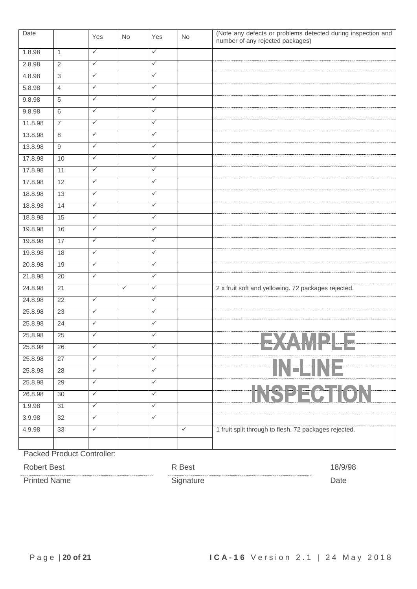| Date    |                 | Yes          | No           | Yes          | No           | (Note any defects or problems detected during inspection and<br>number of any rejected packages) |
|---------|-----------------|--------------|--------------|--------------|--------------|--------------------------------------------------------------------------------------------------|
| 1.8.98  | $\mathbf{1}$    | $\checkmark$ |              | $\checkmark$ |              |                                                                                                  |
| 2.8.98  | $\overline{2}$  | $\checkmark$ |              | $\checkmark$ |              |                                                                                                  |
| 4.8.98  | $\overline{3}$  | $\checkmark$ |              | $\checkmark$ |              |                                                                                                  |
| 5.8.98  | $\overline{4}$  | $\checkmark$ |              | $\checkmark$ |              |                                                                                                  |
| 9.8.98  | $\,$ 5 $\,$     | $\checkmark$ |              | $\checkmark$ |              |                                                                                                  |
| 9.8.98  | 6               | $\checkmark$ |              | $\checkmark$ |              |                                                                                                  |
| 11.8.98 | $\overline{7}$  | $\checkmark$ |              | $\checkmark$ |              |                                                                                                  |
| 13.8.98 | $\,8\,$         | $\checkmark$ |              | $\checkmark$ |              |                                                                                                  |
| 13.8.98 | 9               | $\checkmark$ |              | $\checkmark$ |              |                                                                                                  |
| 17.8.98 | 10              | $\checkmark$ |              | $\checkmark$ |              |                                                                                                  |
| 17.8.98 | 11              | $\checkmark$ |              | $\checkmark$ |              |                                                                                                  |
| 17.8.98 | 12              | $\checkmark$ |              | $\checkmark$ |              |                                                                                                  |
| 18.8.98 | 13              | $\checkmark$ |              | $\checkmark$ |              |                                                                                                  |
| 18.8.98 | 14              | $\checkmark$ |              | $\checkmark$ |              |                                                                                                  |
| 18.8.98 | 15              | $\checkmark$ |              | $\checkmark$ |              |                                                                                                  |
| 19.8.98 | 16              | $\checkmark$ |              | $\checkmark$ |              |                                                                                                  |
| 19.8.98 | 17              | $\checkmark$ |              | $\checkmark$ |              |                                                                                                  |
| 19.8.98 | 18              | $\checkmark$ |              | $\checkmark$ |              |                                                                                                  |
| 20.8.98 | 19              | $\checkmark$ |              | $\checkmark$ |              |                                                                                                  |
| 21.8.98 | 20              | $\checkmark$ |              | $\checkmark$ |              |                                                                                                  |
| 24.8.98 | $\overline{21}$ |              | $\checkmark$ | $\checkmark$ |              | 2 x fruit soft and yellowing. 72 packages rejected.                                              |
| 24.8.98 | $\overline{22}$ | $\checkmark$ |              | $\checkmark$ |              |                                                                                                  |
| 25.8.98 | 23              | $\checkmark$ |              | $\checkmark$ |              |                                                                                                  |
| 25.8.98 | 24              | $\checkmark$ |              | $\checkmark$ |              |                                                                                                  |
| 25.8.98 | 25              | $\checkmark$ |              | $\checkmark$ |              |                                                                                                  |
| 25.8.98 | 26              | $\checkmark$ |              | $\checkmark$ |              | ANITEE                                                                                           |
| 25.8.98 | 27              | $\checkmark$ |              | $\checkmark$ |              |                                                                                                  |
| 25.8.98 | 28              | $\checkmark$ |              | $\checkmark$ |              | V-ENE                                                                                            |
| 25.8.98 | 29              | $\checkmark$ |              | $\checkmark$ |              |                                                                                                  |
| 26.8.98 | 30              | $\checkmark$ |              | $\checkmark$ |              | INSPECTION                                                                                       |
| 1.9.98  | 31              | $\checkmark$ |              | $\checkmark$ |              |                                                                                                  |
| 3.9.98  | 32              | $\checkmark$ |              | $\checkmark$ |              |                                                                                                  |
| 4.9.98  | 33              | $\checkmark$ |              |              | $\checkmark$ | 1 fruit split through to flesh. 72 packages rejected.                                            |
|         |                 |              |              |              |              |                                                                                                  |
|         |                 |              |              |              |              |                                                                                                  |

Packed Product Controller:

Robert Best 18/9/98

Printed Name Date